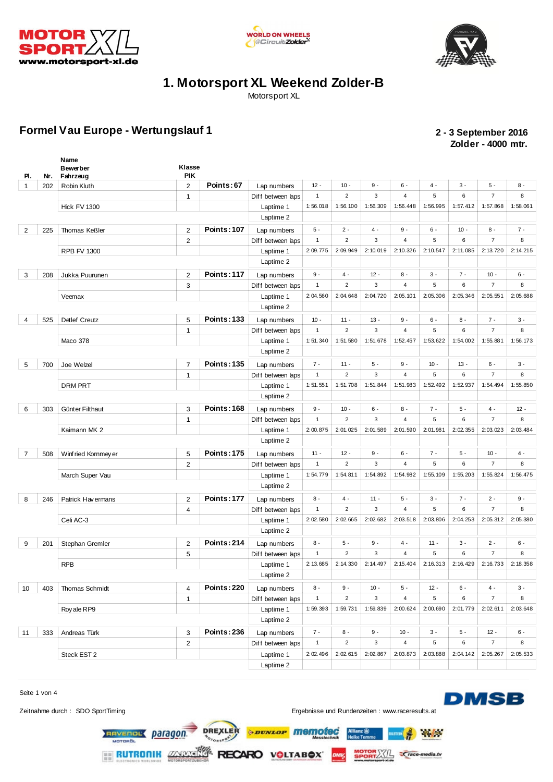





Motorsport XL

#### **Formel Vau Europe - Wertungslauf 1 2 - 3 September 2016**

# **Zolder - 4000 mtr.**

| PI.            | Nr. | Name<br><b>Bewerber</b><br>Fahrzeug | Klasse<br><b>PIK</b> |                    |                                |                          |                  |          |                |             |               |                |          |
|----------------|-----|-------------------------------------|----------------------|--------------------|--------------------------------|--------------------------|------------------|----------|----------------|-------------|---------------|----------------|----------|
| $\mathbf 1$    | 202 | Robin Kluth                         | $\overline{2}$       | Points: 67         | Lap numbers                    | $12 -$                   | $10 -$           | $9 -$    | $6 -$          | $4 -$       | $3 -$         | $5 -$          | $8 -$    |
|                |     |                                     | $\mathbf{1}$         |                    | Diff between laps              | $\mathbf{1}$             | $\overline{2}$   | 3        | 4              | 5           | 6             | $\overline{7}$ | 8        |
|                |     | <b>Hick FV 1300</b>                 |                      |                    | Laptime 1                      | 1:56.018                 | 1:56.100         | 1:56.309 | 1:56.448       | 1:56.995    | 1:57.412      | 1:57.868       | 1:58.061 |
|                |     |                                     |                      |                    | Laptime 2                      |                          |                  |          |                |             |               |                |          |
| $\overline{2}$ | 225 | <b>Thomas Keßler</b>                | $\overline{2}$       | <b>Points: 107</b> | Lap numbers                    | $5 -$                    | $2 -$            | $4 -$    | $9 -$          | $6 -$       | $10 -$        | $8 -$          | $7 -$    |
|                |     |                                     | $\overline{2}$       |                    | Diff between laps              | $\mathbf{1}$             | $\sqrt{2}$       | 3        | 4              | 5           | 6             | $\overline{7}$ | 8        |
|                |     | <b>RPB FV 1300</b>                  |                      |                    | Laptime 1                      | 2:09.775                 | 2:09.949         | 2:10.019 | 2:10.326       | 2:10.547    | 2:11.085      | 2:13.720       | 2:14.215 |
|                |     |                                     |                      |                    | Laptime 2                      |                          |                  |          |                |             |               |                |          |
| 3              | 208 | Jukka Puurunen                      | $\overline{2}$       | <b>Points: 117</b> | Lap numbers                    | $9 -$                    | $4 -$            | $12 -$   | $8 -$          | $3 -$       | $7 -$         | $10 -$         | $6 -$    |
|                |     |                                     | 3                    |                    | Diff between laps              | $\mathbf{1}$             | $\overline{2}$   | 3        | 4              | 5           | 6             | $\overline{7}$ | 8        |
|                |     | Veemax                              |                      |                    | Laptime 1                      | 2:04.560                 | 2:04.648         | 2:04.720 | 2:05.101       | 2:05.306    | 2:05.346      | 2:05.551       | 2:05.688 |
|                |     |                                     |                      |                    | Laptime 2                      |                          |                  |          |                |             |               |                |          |
| 4              | 525 | Detlef Creutz                       | 5                    | <b>Points: 133</b> | Lap numbers                    | $10 -$                   | $11 -$           | $13 -$   | $9 -$          | $6 -$       | $8 -$         | $7 -$          | $3 -$    |
|                |     |                                     | $\mathbf{1}$         |                    | Diff between laps              | $\mathbf{1}$             | $\overline{2}$   | 3        | $\overline{4}$ | 5           | 6             | $\overline{7}$ | 8        |
|                |     | Maco 378                            |                      |                    | Laptime 1                      | 1:51.340                 | 1:51.580         | 1:51.678 | 1:52.457       | 1:53.622    | 1:54.002      | 1:55.881       | 1:56.173 |
|                |     |                                     |                      |                    | Laptime 2                      |                          |                  |          |                |             |               |                |          |
| 5              | 700 | Joe Welzel                          | $\overline{7}$       | <b>Points: 135</b> | Lap numbers                    | $7 -$                    | $11 -$           | $5 -$    | $9 -$          | $10 -$      | $13 -$        | $6 -$          | $3 -$    |
|                |     |                                     | $\mathbf{1}$         |                    | Diff between laps              | $\mathbf{1}$             | $\overline{2}$   | 3        | $\overline{4}$ | 5           | 6             | $\overline{7}$ | 8        |
|                |     | <b>DRM PRT</b>                      |                      |                    | Laptime 1                      | 1:51.551                 | 1:51.708         | 1:51.844 | 1:51.983       | 1:52.492    | 1:52.937      | 1:54.494       | 1:55.850 |
|                |     |                                     |                      |                    | Laptime 2                      |                          |                  |          |                |             |               |                |          |
|                |     |                                     |                      | <b>Points: 168</b> |                                | $9 -$                    | $10 -$           | $6 -$    | 8 -            | $7 -$       | $5 -$         | $4 -$          | $12 -$   |
| 6              | 303 | Günter Filthaut                     | 3<br>$\mathbf{1}$    |                    | Lap numbers                    | $\mathbf{1}$             | $\overline{2}$   | 3        | 4              | 5           | 6             | $\overline{7}$ | 8        |
|                |     | Kaimann MK 2                        |                      |                    | Diff between laps<br>Laptime 1 | 2:00.875                 | 2:01.025         | 2:01.589 | 2:01.590       | 2:01.981    | 2:02.355      | 2:03.023       | 2:03.484 |
|                |     |                                     |                      |                    | Laptime 2                      |                          |                  |          |                |             |               |                |          |
|                |     |                                     |                      | <b>Points: 175</b> |                                | $11 -$                   | $12 -$           | $9 -$    | $6 -$          | $7 -$       | $5 -$         | $10 -$         | $4 -$    |
| $\overline{7}$ | 508 | Winf ried Kornmey er                | 5<br>$\overline{2}$  |                    | Lap numbers                    | $\mathbf{1}$             | $\overline{2}$   | 3        | 4              | 5           | 6             | $\overline{7}$ | 8        |
|                |     |                                     |                      |                    | Diff between laps              | 1:54.779                 | 1:54.811         | 1:54.892 | 1:54.982       | 1:55.109    | 1:55.203      | 1:55.824       | 1:56.475 |
|                |     | March Super Vau                     |                      |                    | Laptime 1<br>Laptime 2         |                          |                  |          |                |             |               |                |          |
|                |     |                                     |                      |                    |                                |                          |                  |          |                |             |               |                |          |
| 8              | 246 | Patrick Havermans                   | $\overline{2}$       | <b>Points: 177</b> | Lap numbers                    | $8 -$                    | $4 -$            | $11 -$   | $5 -$          | $3 -$       | $7 -$         | $2 -$          | $9 -$    |
|                |     |                                     | 4                    |                    | Diff between laps              | $\mathbf{1}$<br>2:02.580 | $\overline{2}$   | 3        | 4              | $\sqrt{5}$  | 6<br>2:04.253 | $\overline{7}$ | 8        |
|                |     | Celi AC-3                           |                      |                    | Laptime 1                      |                          | 2:02.665         | 2:02.682 | 2:03.518       | 2:03.806    |               | 2:05.312       | 2:05.380 |
|                |     |                                     |                      |                    | Laptime 2                      |                          |                  |          |                |             |               |                |          |
| 9              | 201 | Stephan Gremler                     | $\overline{2}$       | <b>Points: 214</b> | Lap numbers                    | $8 -$                    | $5 -$            | $9 -$    | $4 -$          | $11 -$      | $3 -$         | $2 -$          | $6 -$    |
|                |     |                                     | 5                    |                    | Diff between laps              | $\mathbf{1}$             | $\overline{2}$   | 3        | 4              | $\sqrt{5}$  | 6             | $\overline{7}$ | 8        |
|                |     | <b>RPB</b>                          |                      |                    | Laptime 1                      | 2:13.685                 | 2:14.330         | 2:14.497 | 2:15.404       | 2:16.313    | 2:16.429      | 2:16.733       | 2:18.358 |
|                |     |                                     |                      |                    | Laptime 2                      |                          |                  |          |                |             |               |                |          |
| 10             | 403 | Thomas Schmidt                      | 4                    | <b>Points: 220</b> | Lap numbers                    | $8 -$                    | $9 -$            | $10 -$   | $5 -$          | $12 -$      | $6 -$         | $4 -$          | $3 -$    |
|                |     |                                     | $\mathbf{1}$         |                    | Diff between laps              | $\mathbf{1}$             | $\boldsymbol{2}$ | 3        | 4              | $\,$ 5 $\,$ | 6             | $\overline{7}$ | 8        |
|                |     | Roy ale RP9                         |                      |                    | Laptime 1                      | 1:59.393                 | 1:59.731         | 1:59.839 | 2:00.624       | 2:00.690    | 2:01.779      | 2:02.611       | 2:03.648 |
|                |     |                                     |                      |                    | Laptime 2                      |                          |                  |          |                |             |               |                |          |
| 11             | 333 | Andreas Türk                        | 3                    | <b>Points: 236</b> | Lap numbers                    | $7 -$                    | $8 -$            | $9 -$    | $10 -$         | $3 -$       | $5-$          | $12 -$         | $6 -$    |
|                |     |                                     | $\overline{2}$       |                    | Diff between laps              | $\mathbf{1}$             | $\overline{2}$   | 3        | 4              | $\,$ 5 $\,$ | 6             | $\overline{7}$ | 8        |
|                |     | Steck EST 2                         |                      |                    | Laptime 1                      | 2:02.496                 | 2:02.615         | 2:02.867 | 2:03.873       | 2:03.888    | 2:04.142      | 2:05.267       | 2:05.533 |
|                |     |                                     |                      |                    | Laptime 2                      |                          |                  |          |                |             |               |                |          |

Seite 1 von 4

Zeitnahme durch : SDO SportTiming et al. et al. et al. et al. et al. et al. et al. et al. et al. et al. et al. et al. et al. et al. et al. et al. et al. et al. et al. et al. et al. et al. et al. et al. et al. et al. et al.

**Refere** 

**DMSB** 

RECARO VOLTABOX **RUTRONIK ZARAS** 

RAVENOL Daragon

DREXLER

*<i><u><b>DUNLOP</u>* memotec

**SPORTASTLE Crace-media.tv**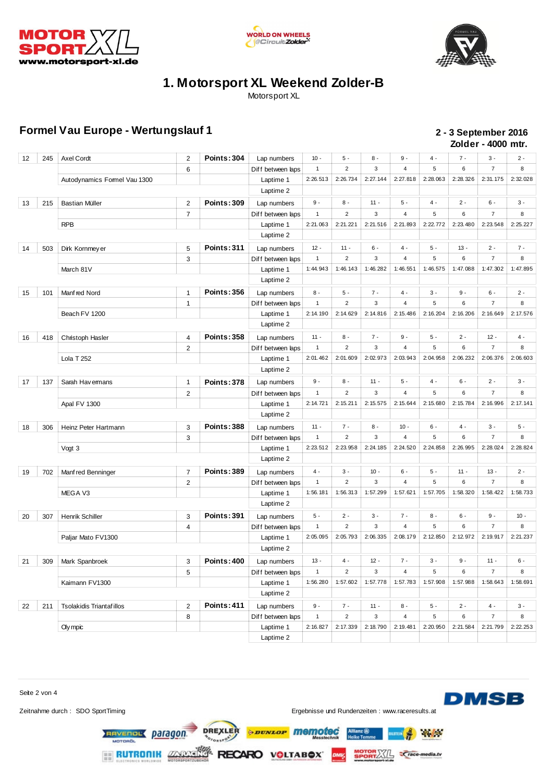





Motorsport XL

#### **Formel Vau Europe - Wertungslauf 1 2 - 3 September 2016**

## **Zolder - 4000 mtr.**

| 12 | 245 | <b>Axel Cordt</b>            | 2              | <b>Points: 304</b> | Lap numbers       | $10 -$       | $5 -$                   | $8 -$    | $9 -$          | $4 -$    | $7 -$    | $3 -$          | $2 -$    |
|----|-----|------------------------------|----------------|--------------------|-------------------|--------------|-------------------------|----------|----------------|----------|----------|----------------|----------|
|    |     |                              | 6              |                    | Diff between laps | $\mathbf{1}$ | $\overline{2}$          | 3        | 4              | 5        | 6        | $\overline{7}$ | 8        |
|    |     | Autodynamics Formel Vau 1300 |                |                    | Laptime 1         | 2:26.513     | 2:26.734                | 2:27.144 | 2:27.818       | 2:28.063 | 2:28.326 | 2:31.175       | 2:32.028 |
|    |     |                              |                |                    | Laptime 2         |              |                         |          |                |          |          |                |          |
| 13 | 215 | <b>Bastian Müller</b>        | $\overline{2}$ | <b>Points: 309</b> | Lap numbers       | $9 -$        | $8 -$                   | $11 -$   | $5 -$          | $4 -$    | $2 -$    | $6 -$          | $3 -$    |
|    |     |                              | $\overline{7}$ |                    | Diff between laps | $\mathbf{1}$ | $\overline{2}$          | 3        | 4              | 5        | 6        | $\overline{7}$ | 8        |
|    |     | <b>RPB</b>                   |                |                    | Laptime 1         | 2:21.063     | 2:21.221                | 2:21.516 | 2:21.893       | 2:22.772 | 2:23.480 | 2:23.548       | 2:25.227 |
|    |     |                              |                |                    | Laptime 2         |              |                         |          |                |          |          |                |          |
| 14 | 503 | Dirk Kornmey er              | 5              | <b>Points: 311</b> | Lap numbers       | $12 -$       | $11 -$                  | $6 -$    | $4 -$          | $5-$     | $13 -$   | $2 -$          | $7 -$    |
|    |     |                              | 3              |                    | Diff between laps | $\mathbf{1}$ | $\overline{2}$          | 3        | 4              | 5        | 6        | $\overline{7}$ | 8        |
|    |     | March 81V                    |                |                    | Laptime 1         | 1:44.943     | 1:46.143                | 1:46.282 | 1:46.551       | 1:46.575 | 1:47.088 | 1:47.302       | 1:47.895 |
|    |     |                              |                |                    | Laptime 2         |              |                         |          |                |          |          |                |          |
| 15 | 101 | Manfred Nord                 | 1              | <b>Points: 356</b> | Lap numbers       | $8 -$        | $5 -$                   | $7 -$    | $4 -$          | $3 -$    | $9 -$    | $6 -$          | $2 -$    |
|    |     |                              | $\mathbf{1}$   |                    | Diff between laps | $\mathbf{1}$ | $\overline{2}$          | 3        | 4              | 5        | 6        | $\overline{7}$ | 8        |
|    |     | Beach FV 1200                |                |                    | Laptime 1         | 2:14.190     | 2:14.629                | 2:14.816 | 2:15.486       | 2:16.204 | 2:16.206 | 2:16.649       | 2:17.576 |
|    |     |                              |                |                    | Laptime 2         |              |                         |          |                |          |          |                |          |
| 16 | 418 | Christoph Hasler             | $\overline{4}$ | <b>Points: 358</b> | Lap numbers       | $11 -$       | 8 -                     | $7 -$    | $9 -$          | $5 -$    | $2 -$    | $12 -$         | 4 -      |
|    |     |                              | 2              |                    | Diff between laps | $\mathbf{1}$ | $\overline{2}$          | 3        | 4              | 5        | 6        | $\overline{7}$ | 8        |
|    |     | Lola T 252                   |                |                    | Laptime 1         | 2:01.462     | 2:01.609                | 2:02.973 | 2:03.943       | 2:04.958 | 2:06.232 | 2:06.376       | 2:06.603 |
|    |     |                              |                |                    | Laptime 2         |              |                         |          |                |          |          |                |          |
| 17 | 137 | Sarah Hav emans              | 1              | <b>Points: 378</b> | Lap numbers       | $9 -$        | $8 -$                   | $11 -$   | $5 -$          | $4 -$    | $6 -$    | $2 -$          | $3 -$    |
|    |     |                              | 2              |                    | Diff between laps | $\mathbf{1}$ | $\overline{2}$          | 3        | 4              | 5        | 6        | $\overline{7}$ | 8        |
|    |     | Apal FV 1300                 |                |                    | Laptime 1         | 2:14.721     | 2:15.211                | 2:15.575 | 2:15.644       | 2:15.680 | 2:15.784 | 2:16.996       | 2:17.141 |
|    |     |                              |                |                    | Laptime 2         |              |                         |          |                |          |          |                |          |
| 18 | 306 | Heinz Peter Hartmann         | 3              | Points: 388        | Lap numbers       | $11 -$       | $7 -$                   | $8 -$    | $10 -$         | $6 -$    | $4 -$    | $3 -$          | $5 -$    |
|    |     |                              | 3              |                    | Diff between laps | $\mathbf{1}$ | $\overline{2}$          | 3        | $\overline{4}$ | 5        | 6        | $\overline{7}$ | 8        |
|    |     | Vogt 3                       |                |                    | Laptime 1         | 2:23.512     | 2:23.958                | 2:24.185 | 2:24.520       | 2:24.858 | 2:26.995 | 2:28.024       | 2:28.824 |
|    |     |                              |                |                    | Laptime 2         |              |                         |          |                |          |          |                |          |
| 19 | 702 | Manf red Benninger           | 7              | <b>Points: 389</b> | Lap numbers       | 4 -          | $3 -$                   | $10 -$   | $6 -$          | $5 -$    | $11 -$   | $13 -$         | $2 -$    |
|    |     |                              | 2              |                    | Diff between laps | $\mathbf{1}$ | $\overline{2}$          | 3        | $\overline{4}$ | 5        | 6        | $\overline{7}$ | 8        |
|    |     | MEGA V3                      |                |                    | Laptime 1         | 1:56.181     | 1:56.313                | 1:57.299 | 1:57.621       | 1:57.705 | 1:58.320 | 1:58.422       | 1:58.733 |
|    |     |                              |                |                    | Laptime 2         |              |                         |          |                |          |          |                |          |
| 20 | 307 | Henrik Schiller              | 3              | <b>Points: 391</b> | Lap numbers       | 5 -          | $2 -$                   | $3 -$    | $7 -$          | $8 -$    | 6 -      | $9 -$          | $10 -$   |
|    |     |                              | 4              |                    | Diff between laps | $\mathbf{1}$ | $\overline{2}$          | 3        | $\overline{4}$ | 5        | 6        | $\overline{7}$ | 8        |
|    |     | Paljar Mato FV1300           |                |                    | Laptime 1         | 2:05.095     | 2:05.793                | 2:06.335 | 2:08.179       | 2:12.850 | 2:12.972 | 2:19.917       | 2:21.237 |
|    |     |                              |                |                    | Laptime 2         |              |                         |          |                |          |          |                |          |
| 21 | 309 | Mark Spanbroek               | 3              | <b>Points: 400</b> | Lap numbers       | $13 -$       | 4 -                     | $12 -$   | $7 -$          | $3 -$    | 9 -      | $11 -$         | $6 -$    |
|    |     |                              | 5              |                    | Diff between laps | $\mathbf{1}$ | $\overline{\mathbf{c}}$ | 3        | 4              | 5        | 6        | 7              | 8        |
|    |     | Kaimann FV1300               |                |                    | Laptime 1         | 1:56.280     | 1:57.602                | 1:57.778 | 1:57.783       | 1:57.908 | 1:57.988 | 1:58.643       | 1:58.691 |
|    |     |                              |                |                    | Laptime 2         |              |                         |          |                |          |          |                |          |
| 22 | 211 | Tsolakidis Triantaf illos    | 2              | <b>Points: 411</b> | Lap numbers       | $9 -$        | $7 -$                   | $11 -$   | $8 -$          | $5 -$    | $2 -$    | $4 -$          | $3 -$    |
|    |     |                              | 8              |                    | Diff between laps | $\mathbf{1}$ | $\mathbf 2$             | 3        | 4              | 5        | 6        | $\overline{7}$ | 8        |
|    |     | Oly mpic                     |                |                    | Laptime 1         | 2:16.827     | 2:17.339                | 2:18.790 | 2:19.481       | 2:20.950 | 2:21.584 | 2:21.799       | 2:22.253 |
|    |     |                              |                |                    | Laptime 2         |              |                         |          |                |          |          |                |          |

Seite 2 von 4

Zeitnahme durch : SDO SportTiming et al. et al. et al. et al. et al. et al. et al. et al. et al. et al. et al. et al. et al. et al. et al. et al. et al. et al. et al. et al. et al. et al. et al. et al. et al. et al. et al.

LSTEIN

**SPORTASTLE Crace-media.tv** 

*<i><u><b>DUNLOP</u>* memotec

RECARO VOLTABOX

**DMSB** 

**Refine** 

DREXLER **RAVEROL Daragon** 

**RUTRONIK ZARAS**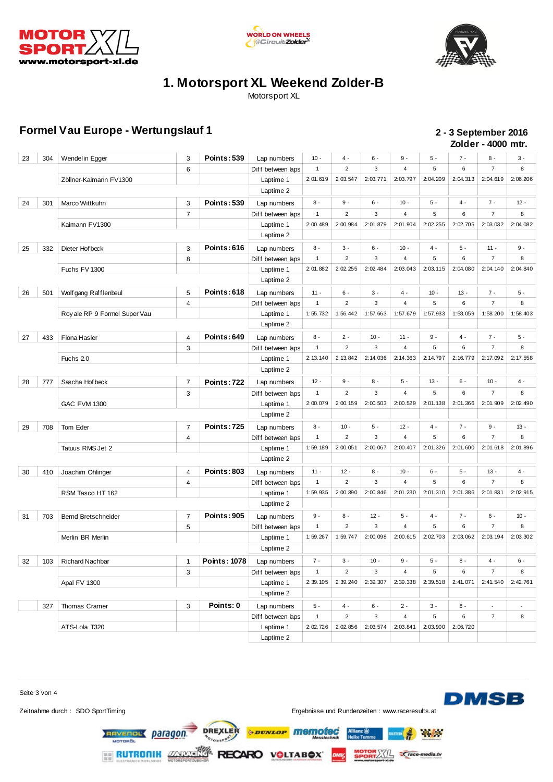





Motorsport XL

#### **Formel Vau Europe - Wertungslauf 1 2 - 3 September 2016**

## **Zolder - 4000 mtr.**

| 23 | 304 | Wendel in Egger               | 3              | <b>Points: 539</b>  | Lap numbers       | $10 -$       | $4 -$                   | $6 -$       | $9 -$          | $5 -$    | $7 -$    | $8 -$                    | $3 -$                    |
|----|-----|-------------------------------|----------------|---------------------|-------------------|--------------|-------------------------|-------------|----------------|----------|----------|--------------------------|--------------------------|
|    |     |                               | 6              |                     | Diff between laps | $\mathbf{1}$ | $\overline{c}$          | 3           | $\sqrt{4}$     | 5        | 6        | $\overline{7}$           | 8                        |
|    |     | Zöllner-Kaimann FV1300        |                |                     | Laptime 1         | 2:01.619     | 2:03.547                | 2:03.771    | 2:03.797       | 2:04.209 | 2:04.313 | 2:04.619                 | 2:06.206                 |
|    |     |                               |                |                     | Laptime 2         |              |                         |             |                |          |          |                          |                          |
| 24 | 301 | Marco Wittkuhn                | 3              | <b>Points: 539</b>  | Lap numbers       | 8 -          | 9 -                     | $6 -$       | $10 -$         | $5 -$    | $4 -$    | $7 -$                    | $12 -$                   |
|    |     |                               | $\overline{7}$ |                     | Diff between laps | $\mathbf{1}$ | $\overline{2}$          | 3           | 4              | 5        | 6        | $\overline{7}$           | 8                        |
|    |     | Kaimann FV1300                |                |                     | Laptime 1         | 2:00.489     | 2:00.984                | 2:01.879    | 2:01.904       | 2:02.255 | 2:02.705 | 2:03.032                 | 2:04.082                 |
|    |     |                               |                |                     | Laptime 2         |              |                         |             |                |          |          |                          |                          |
| 25 | 332 | Dieter Hof beck               | 3              | Points: 616         | Lap numbers       | $8 -$        | 3 -                     | $6 -$       | $10 -$         | 4 -      | $5 -$    | $11 -$                   | $9 -$                    |
|    |     |                               | 8              |                     | Diff between laps | $\mathbf{1}$ | $\overline{2}$          | 3           | $\overline{4}$ | 5        | 6        | $\overline{7}$           | 8                        |
|    |     | Fuchs FV 1300                 |                |                     | Laptime 1         | 2:01.882     | 2:02.255                | 2:02.484    | 2:03.043       | 2:03.115 | 2:04.080 | 2:04.140                 | 2:04.840                 |
|    |     |                               |                |                     | Laptime 2         |              |                         |             |                |          |          |                          |                          |
| 26 | 501 | Wolf gang Rafflenbeul         | 5              | Points: 618         | Lap numbers       | $11 -$       | 6 -                     | $3 -$       | 4 -            | $10 -$   | $13 -$   | $7 -$                    | $5$ -                    |
|    |     |                               | 4              |                     | Diff between laps | $\mathbf{1}$ | $\overline{2}$          | 3           | 4              | 5        | 6        | $\overline{7}$           | 8                        |
|    |     | Roy ale RP 9 Formel Super Vau |                |                     | Laptime 1         | 1:55.732     | 1:56.442                | 1:57.663    | 1:57.679       | 1:57.933 | 1:58.059 | 1:58.200                 | 1:58.403                 |
|    |     |                               |                |                     | Laptime 2         |              |                         |             |                |          |          |                          |                          |
| 27 | 433 | Fiona Hasler                  | 4              | <b>Points: 649</b>  | Lap numbers       | 8 -          | 2 -                     | $10 -$      | $11 -$         | 9 -      | 4 -      | $7 -$                    | $5 -$                    |
|    |     |                               | 3              |                     | Diff between laps | $\mathbf{1}$ | $\overline{2}$          | 3           | 4              | 5        | 6        | $\overline{7}$           | 8                        |
|    |     | Fuchs 2.0                     |                |                     | Laptime 1         | 2:13.140     | 2:13.842                | 2:14.036    | 2:14.363       | 2:14.797 | 2:16.779 | 2:17.092                 | 2:17.558                 |
|    |     |                               |                |                     | Laptime 2         |              |                         |             |                |          |          |                          |                          |
| 28 | 777 | Sascha Hofbeck                | $\overline{7}$ | <b>Points: 722</b>  | Lap numbers       | $12 -$       | $9 -$                   | $8 -$       | $5 -$          | $13 -$   | $6 -$    | $10 -$                   | $4 -$                    |
|    |     |                               | 3              |                     | Diff between laps | $\mathbf{1}$ | $\boldsymbol{2}$        | 3           | $\overline{4}$ | 5        | 6        | $\overline{7}$           | 8                        |
|    |     | <b>GAC FVM 1300</b>           |                |                     | Laptime 1         | 2:00.079     | 2:00.159                | 2:00.503    | 2:00.529       | 2:01.138 | 2:01.366 | 2:01.909                 | 2:02.490                 |
|    |     |                               |                |                     | Laptime 2         |              |                         |             |                |          |          |                          |                          |
| 29 | 708 | Tom Eder                      | 7              | <b>Points: 725</b>  | Lap numbers       | $8 -$        | $10 -$                  | 5 -         | $12 -$         | $4 -$    | $7 -$    | $9 -$                    | $13 -$                   |
|    |     |                               | 4              |                     | Diff between laps | $\mathbf{1}$ | $\overline{c}$          | 3           | $\overline{4}$ | 5        | 6        | $\overline{7}$           | 8                        |
|    |     | Tatuus RMS Jet 2              |                |                     | Laptime 1         | 1:59.189     | 2:00.051                | 2:00.067    | 2:00.407       | 2:01.326 | 2:01.600 | 2:01.618                 | 2:01.896                 |
|    |     |                               |                |                     | Laptime 2         |              |                         |             |                |          |          |                          |                          |
| 30 | 410 | Joachim Ohlinger              | 4              | <b>Points: 803</b>  | Lap numbers       | $11 -$       | $12 -$                  | $8 -$       | $10 -$         | $6 -$    | $5 -$    | $13 -$                   | 4 -                      |
|    |     |                               | 4              |                     | Diff between laps | $\mathbf{1}$ | $\overline{2}$          | 3           | $\overline{4}$ | 5        | 6        | $\overline{7}$           | 8                        |
|    |     | RSM Tasco HT 162              |                |                     | Laptime 1         | 1:59.935     | 2:00.390                | 2:00.846    | 2:01.230       | 2:01.310 | 2:01.386 | 2:01.831                 | 2:02.915                 |
|    |     |                               |                |                     | Laptime 2         |              |                         |             |                |          |          |                          |                          |
| 31 | 703 | Bernd Bretschneider           | $\overline{7}$ | <b>Points: 905</b>  | Lap numbers       | $9 -$        | 8 -                     | $12 -$      | $5 -$          | $4 -$    | $7 -$    | $6 -$                    | $10 -$                   |
|    |     |                               | 5              |                     | Diff between laps | $\mathbf{1}$ | $\boldsymbol{2}$        | 3           | $\overline{4}$ | 5        | 6        | $\overline{7}$           | 8                        |
|    |     | Merlin BR Merlin              |                |                     | Laptime 1         | 1:59.267     | 1:59.747                | 2:00.098    | 2:00.615       | 2:02.703 | 2:03.062 | 2:03.194                 | 2:03.302                 |
|    |     |                               |                |                     | Laptime 2         |              |                         |             |                |          |          |                          |                          |
| 32 | 103 | <b>Richard Nachbar</b>        | $\mathbf{1}$   | <b>Points: 1078</b> | Lap numbers       | $7 -$        | 3 -                     | $10 -$      | $9 -$          | 5 -      | $8 -$    | 4 -                      | $6 -$                    |
|    |     |                               | 3              |                     | Diff between laps | $\mathbf{1}$ | $\overline{\mathbf{c}}$ | $\mathbf 3$ | 4              | 5        | 6        | $\overline{7}$           | 8                        |
|    |     | Apal FV 1300                  |                |                     | Laptime 1         | 2:39.105     | 2:39.240                | 2:39.307    | 2:39.338       | 2:39.518 | 2:41.071 | 2:41.540                 | 2:42.761                 |
|    |     |                               |                |                     | Laptime 2         |              |                         |             |                |          |          |                          |                          |
|    | 327 | Thomas Cramer                 | 3              | Points: 0           | Lap numbers       | $5 -$        | $4 -$                   | $6 -$       | $2 -$          | $3 -$    | $8 -$    | $\overline{\phantom{a}}$ | $\overline{\phantom{a}}$ |
|    |     |                               |                |                     | Diff between laps | $\mathbf{1}$ | $\overline{2}$          | 3           | 4              | 5        | 6        | $\overline{7}$           | 8                        |
|    |     | ATS-Lola T320                 |                |                     | Laptime 1         | 2:02.726     | 2:02.856                | 2:03.574    | 2:03.841       | 2:03.900 | 2:06.720 |                          |                          |
|    |     |                               |                |                     | Laptime 2         |              |                         |             |                |          |          |                          |                          |

Seite 3 von 4

Zeitnahme durch : SDO SportTiming et al. et al. et al. et al. et al. et al. et al. et al. et al. et al. et al. et al. et al. et al. et al. et al. et al. et al. et al. et al. et al. et al. et al. et al. et al. et al. et al.

**DMSB** 

LSTEIN

**SPORTASTLE Crace-media.tv** 

**Refine** 

**RAVEROL Daragon** 

DREXLER RECARO VOLTABOX **RUTRONIK ZARAS** 

*<i><u><b>DUNLOP</u>* memotec